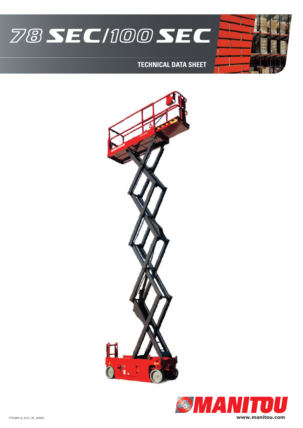